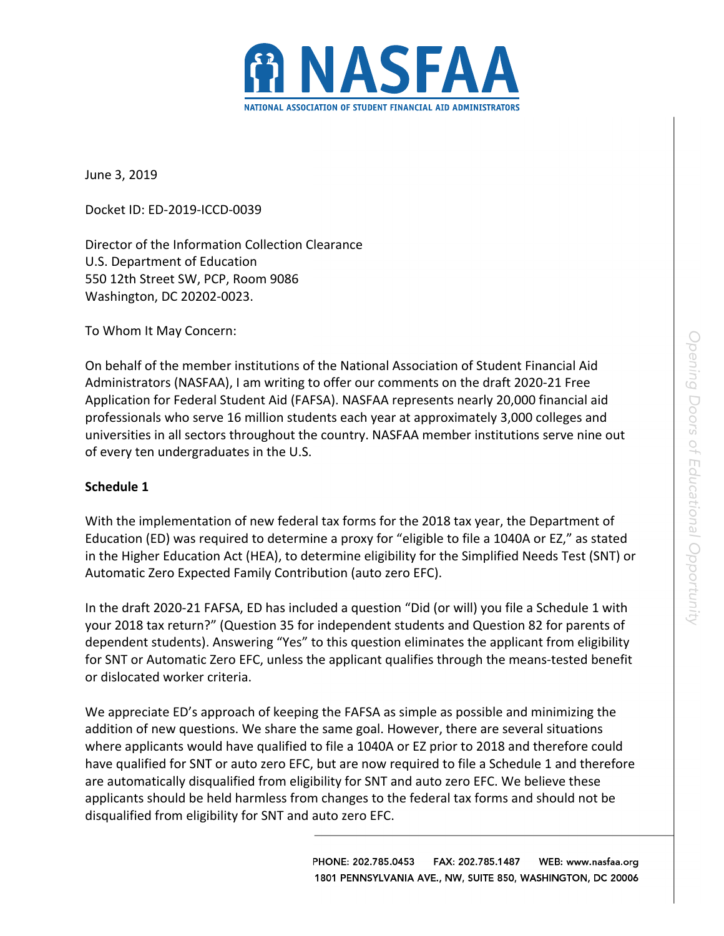

June 3, 2019

Docket ID: ED-2019-ICCD-0039

Director of the Information Collection Clearance U.S. Department of Education 550 12th Street SW, PCP, Room 9086 Washington, DC 20202-0023.

To Whom It May Concern:

On behalf of the member institutions of the National Association of Student Financial Aid Administrators (NASFAA), I am writing to offer our comments on the draft 2020-21 Free Application for Federal Student Aid (FAFSA). NASFAA represents nearly 20,000 financial aid professionals who serve 16 million students each year at approximately 3,000 colleges and universities in all sectors throughout the country. NASFAA member institutions serve nine out of every ten undergraduates in the U.S.

## **Schedule 1**

With the implementation of new federal tax forms for the 2018 tax year, the Department of Education (ED) was required to determine a proxy for "eligible to file a 1040A or EZ," as stated in the Higher Education Act (HEA), to determine eligibility for the Simplified Needs Test (SNT) or Automatic Zero Expected Family Contribution (auto zero EFC).

In the draft 2020-21 FAFSA, ED has included a question "Did (or will) you file a Schedule 1 with your 2018 tax return?" (Question 35 for independent students and Question 82 for parents of dependent students). Answering "Yes" to this question eliminates the applicant from eligibility for SNT or Automatic Zero EFC, unless the applicant qualifies through the means-tested benefit or dislocated worker criteria.

We appreciate ED's approach of keeping the FAFSA as simple as possible and minimizing the addition of new questions. We share the same goal. However, there are several situations where applicants would have qualified to file a 1040A or EZ prior to 2018 and therefore could have qualified for SNT or auto zero EFC, but are now required to file a Schedule 1 and therefore are automatically disqualified from eligibility for SNT and auto zero EFC. We believe these applicants should be held harmless from changes to the federal tax forms and should not be disqualified from eligibility for SNT and auto zero EFC.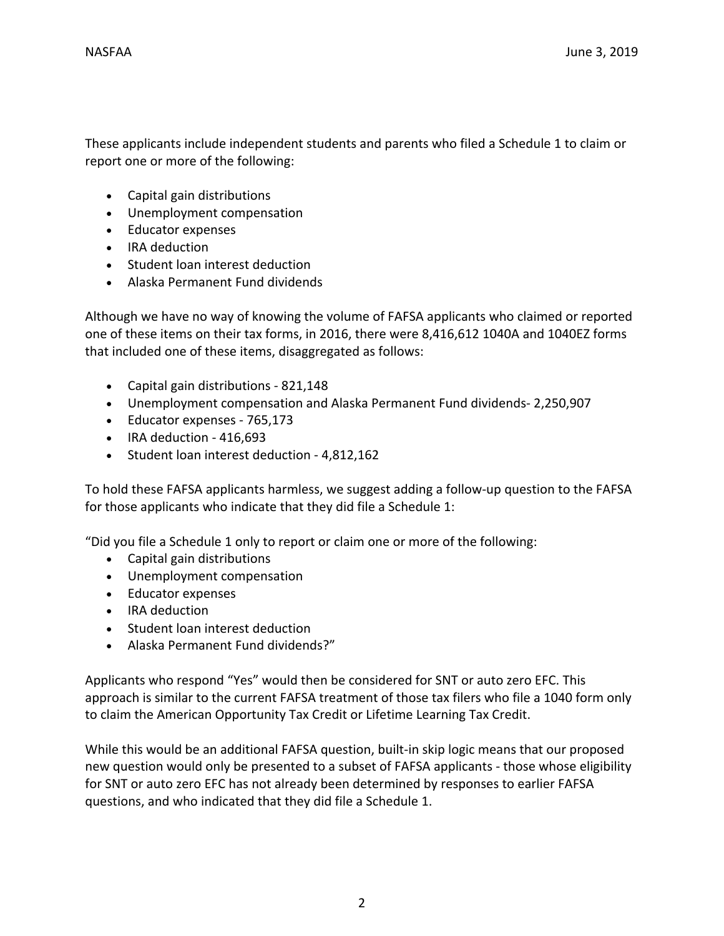These applicants include independent students and parents who filed a Schedule 1 to claim or report one or more of the following:

- Capital gain distributions
- Unemployment compensation
- Educator expenses
- IRA deduction
- Student loan interest deduction
- Alaska Permanent Fund dividends

Although we have no way of knowing the volume of FAFSA applicants who claimed or reported one of these items on their tax forms, in 2016, there were 8,416,612 1040A and 1040EZ forms that included one of these items, disaggregated as follows:

- Capital gain distributions 821,148
- Unemployment compensation and Alaska Permanent Fund dividends- 2,250,907
- Educator expenses 765,173
- IRA deduction 416,693
- Student loan interest deduction 4,812,162

To hold these FAFSA applicants harmless, we suggest adding a follow-up question to the FAFSA for those applicants who indicate that they did file a Schedule 1:

"Did you file a Schedule 1 only to report or claim one or more of the following:

- Capital gain distributions
- Unemployment compensation
- Educator expenses
- IRA deduction
- Student loan interest deduction
- Alaska Permanent Fund dividends?"

Applicants who respond "Yes" would then be considered for SNT or auto zero EFC. This approach is similar to the current FAFSA treatment of those tax filers who file a 1040 form only to claim the American Opportunity Tax Credit or Lifetime Learning Tax Credit.

While this would be an additional FAFSA question, built-in skip logic means that our proposed new question would only be presented to a subset of FAFSA applicants - those whose eligibility for SNT or auto zero EFC has not already been determined by responses to earlier FAFSA questions, and who indicated that they did file a Schedule 1.